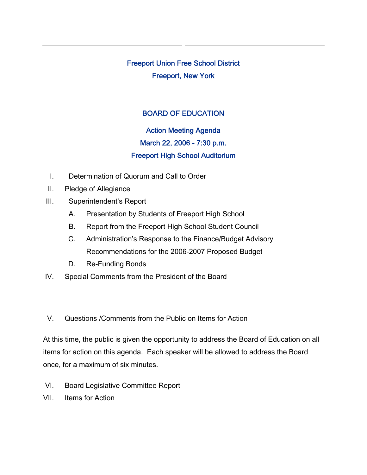Freeport Union Free School District Freeport, New York

# BOARD OF EDUCATION

# Action Meeting Agenda March 22, 2006 - 7:30 p.m. Freeport High School Auditorium

- I. Determination of Quorum and Call to Order
- II. Pledge of Allegiance
- III. Superintendent's Report
	- A. Presentation by Students of Freeport High School
	- B. Report from the Freeport High School Student Council
	- C. Administration's Response to the Finance/Budget Advisory Recommendations for the 2006-2007 Proposed Budget
	- D. Re-Funding Bonds
- IV. Special Comments from the President of the Board
- V. Questions /Comments from the Public on Items for Action

At this time, the public is given the opportunity to address the Board of Education on all items for action on this agenda. Each speaker will be allowed to address the Board once, for a maximum of six minutes.

- VI. Board Legislative Committee Report
- VII. Items for Action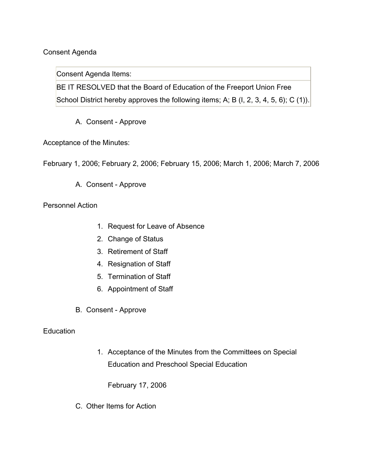## Consent Agenda

Consent Agenda Items:

BE IT RESOLVED that the Board of Education of the Freeport Union Free School District hereby approves the following items; A; B (I, 2, 3, 4, 5, 6); C (1)).

A. Consent - Approve

Acceptance of the Minutes:

February 1, 2006; February 2, 2006; February 15, 2006; March 1, 2006; March 7, 2006

A. Consent - Approve

Personnel Action

- 1. Request for Leave of Absence
- 2. Change of Status
- 3. Retirement of Staff
- 4. Resignation of Staff
- 5. Termination of Staff
- 6. Appointment of Staff
- B. Consent Approve

### Education

1. Acceptance of the Minutes from the Committees on Special Education and Preschool Special Education

February 17, 2006

C. Other Items for Action